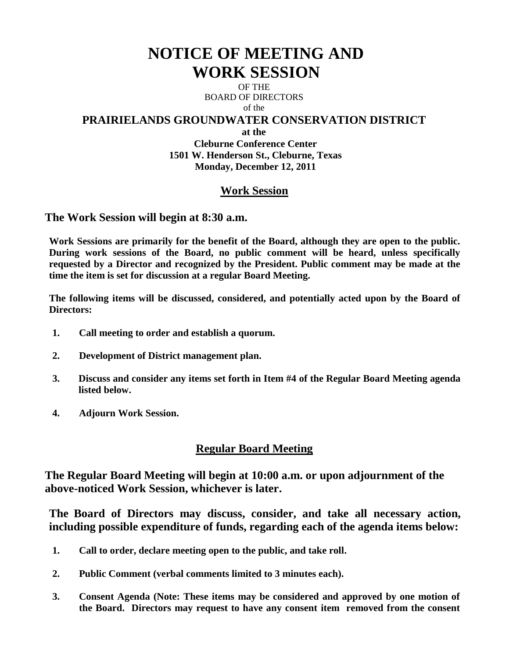# **NOTICE OF MEETING AND WORK SESSION**

OF THE BOARD OF DIRECTORS of the

### **PRAIRIELANDS GROUNDWATER CONSERVATION DISTRICT**

**at the**

**Cleburne Conference Center 1501 W. Henderson St., Cleburne, Texas Monday, December 12, 2011**

# **Work Session**

**The Work Session will begin at 8:30 a.m.** 

**Work Sessions are primarily for the benefit of the Board, although they are open to the public. During work sessions of the Board, no public comment will be heard, unless specifically requested by a Director and recognized by the President. Public comment may be made at the time the item is set for discussion at a regular Board Meeting.**

**The following items will be discussed, considered, and potentially acted upon by the Board of Directors:** 

- **1. Call meeting to order and establish a quorum.**
- **2. Development of District management plan.**
- **3. Discuss and consider any items set forth in Item #4 of the Regular Board Meeting agenda listed below.**
- **4. Adjourn Work Session.**

## **Regular Board Meeting**

**The Regular Board Meeting will begin at 10:00 a.m. or upon adjournment of the above-noticed Work Session, whichever is later.**

**The Board of Directors may discuss, consider, and take all necessary action, including possible expenditure of funds, regarding each of the agenda items below:**

- **1. Call to order, declare meeting open to the public, and take roll.**
- **2. Public Comment (verbal comments limited to 3 minutes each).**
- **3. Consent Agenda (Note: These items may be considered and approved by one motion of the Board. Directors may request to have any consent item removed from the consent**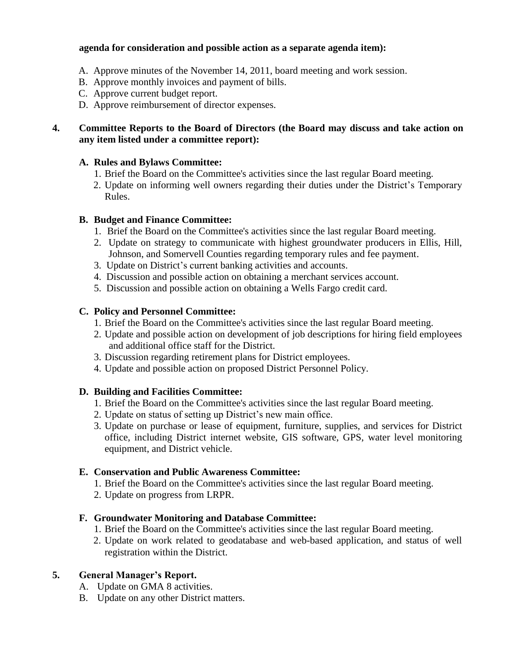#### **agenda for consideration and possible action as a separate agenda item):**

- A. Approve minutes of the November 14, 2011, board meeting and work session.
- B. Approve monthly invoices and payment of bills.
- C. Approve current budget report.
- D. Approve reimbursement of director expenses.

#### **4. Committee Reports to the Board of Directors (the Board may discuss and take action on any item listed under a committee report):**

#### **A. Rules and Bylaws Committee:**

- 1. Brief the Board on the Committee's activities since the last regular Board meeting.
- 2. Update on informing well owners regarding their duties under the District's Temporary Rules.

#### **B. Budget and Finance Committee:**

- 1. Brief the Board on the Committee's activities since the last regular Board meeting.
- 2. Update on strategy to communicate with highest groundwater producers in Ellis, Hill, Johnson, and Somervell Counties regarding temporary rules and fee payment.
- 3. Update on District's current banking activities and accounts.
- 4. Discussion and possible action on obtaining a merchant services account.
- 5. Discussion and possible action on obtaining a Wells Fargo credit card.

#### **C. Policy and Personnel Committee:**

- 1. Brief the Board on the Committee's activities since the last regular Board meeting.
- 2. Update and possible action on development of job descriptions for hiring field employees and additional office staff for the District.
- 3. Discussion regarding retirement plans for District employees.
- 4. Update and possible action on proposed District Personnel Policy.

#### **D. Building and Facilities Committee:**

- 1. Brief the Board on the Committee's activities since the last regular Board meeting.
- 2. Update on status of setting up District's new main office.
- 3. Update on purchase or lease of equipment, furniture, supplies, and services for District office, including District internet website, GIS software, GPS, water level monitoring equipment, and District vehicle.

#### **E. Conservation and Public Awareness Committee:**

- 1. Brief the Board on the Committee's activities since the last regular Board meeting.
- 2. Update on progress from LRPR.

#### **F. Groundwater Monitoring and Database Committee:**

- 1. Brief the Board on the Committee's activities since the last regular Board meeting.
- 2. Update on work related to geodatabase and web-based application, and status of well registration within the District.

#### **5. General Manager's Report.**

- A. Update on GMA 8 activities.
- B. Update on any other District matters.